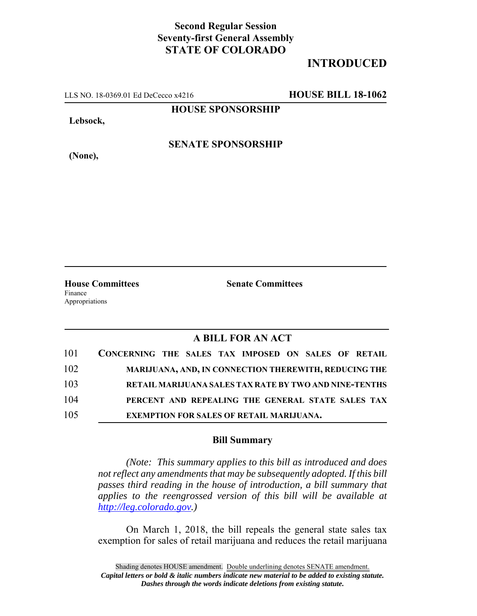## **Second Regular Session Seventy-first General Assembly STATE OF COLORADO**

## **INTRODUCED**

LLS NO. 18-0369.01 Ed DeCecco x4216 **HOUSE BILL 18-1062**

**HOUSE SPONSORSHIP**

**Lebsock,**

**(None),**

**SENATE SPONSORSHIP**

**House Committees Senate Committees** Finance Appropriations

## **A BILL FOR AN ACT**

| 101 | CONCERNING THE SALES TAX IMPOSED ON SALES OF RETAIL    |
|-----|--------------------------------------------------------|
| 102 | MARIJUANA, AND, IN CONNECTION THEREWITH, REDUCING THE  |
| 103 | RETAIL MARIJUANA SALES TAX RATE BY TWO AND NINE-TENTHS |
| 104 | PERCENT AND REPEALING THE GENERAL STATE SALES TAX      |
| 105 | <b>EXEMPTION FOR SALES OF RETAIL MARIJUANA.</b>        |

## **Bill Summary**

*(Note: This summary applies to this bill as introduced and does not reflect any amendments that may be subsequently adopted. If this bill passes third reading in the house of introduction, a bill summary that applies to the reengrossed version of this bill will be available at http://leg.colorado.gov.)*

On March 1, 2018, the bill repeals the general state sales tax exemption for sales of retail marijuana and reduces the retail marijuana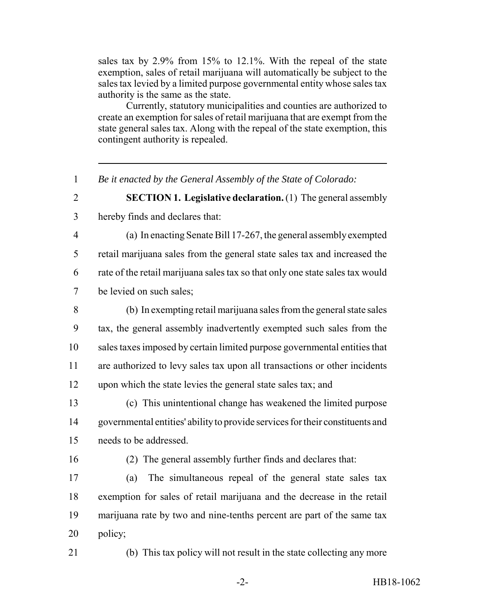sales tax by 2.9% from 15% to 12.1%. With the repeal of the state exemption, sales of retail marijuana will automatically be subject to the sales tax levied by a limited purpose governmental entity whose sales tax authority is the same as the state.

Currently, statutory municipalities and counties are authorized to create an exemption for sales of retail marijuana that are exempt from the state general sales tax. Along with the repeal of the state exemption, this contingent authority is repealed.

*Be it enacted by the General Assembly of the State of Colorado:*

 **SECTION 1. Legislative declaration.** (1) The general assembly hereby finds and declares that:

- (a) In enacting Senate Bill 17-267, the general assembly exempted retail marijuana sales from the general state sales tax and increased the rate of the retail marijuana sales tax so that only one state sales tax would be levied on such sales;
- (b) In exempting retail marijuana sales from the general state sales tax, the general assembly inadvertently exempted such sales from the sales taxes imposed by certain limited purpose governmental entities that are authorized to levy sales tax upon all transactions or other incidents upon which the state levies the general state sales tax; and

 (c) This unintentional change has weakened the limited purpose governmental entities' ability to provide services for their constituents and needs to be addressed.

(2) The general assembly further finds and declares that:

 (a) The simultaneous repeal of the general state sales tax exemption for sales of retail marijuana and the decrease in the retail marijuana rate by two and nine-tenths percent are part of the same tax policy;

(b) This tax policy will not result in the state collecting any more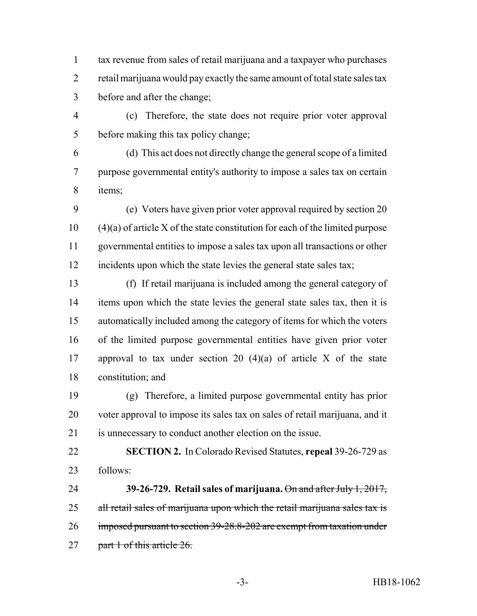tax revenue from sales of retail marijuana and a taxpayer who purchases 2 retail marijuana would pay exactly the same amount of total state sales tax before and after the change;

 (c) Therefore, the state does not require prior voter approval before making this tax policy change;

 (d) This act does not directly change the general scope of a limited purpose governmental entity's authority to impose a sales tax on certain items;

 (e) Voters have given prior voter approval required by section 20 (4)(a) of article X of the state constitution for each of the limited purpose governmental entities to impose a sales tax upon all transactions or other incidents upon which the state levies the general state sales tax;

 (f) If retail marijuana is included among the general category of items upon which the state levies the general state sales tax, then it is automatically included among the category of items for which the voters of the limited purpose governmental entities have given prior voter 17 approval to tax under section 20  $(4)(a)$  of article X of the state constitution; and

 (g) Therefore, a limited purpose governmental entity has prior voter approval to impose its sales tax on sales of retail marijuana, and it is unnecessary to conduct another election on the issue.

 **SECTION 2.** In Colorado Revised Statutes, **repeal** 39-26-729 as follows:

 **39-26-729. Retail sales of marijuana.** On and after July 1, 2017, 25 all retail sales of marijuana upon which the retail marijuana sales tax is imposed pursuant to section 39-28.8-202 are exempt from taxation under 27 part 1 of this article 26.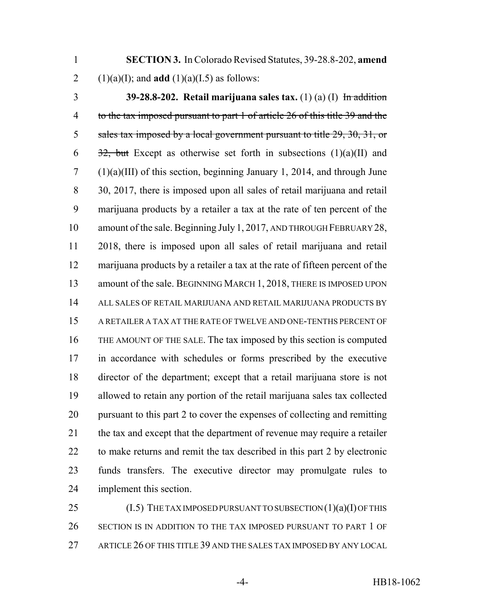**SECTION 3.** In Colorado Revised Statutes, 39-28.8-202, **amend** 2 (1)(a)(I); and **add** (1)(a)(I.5) as follows:

 **39-28.8-202. Retail marijuana sales tax.** (1) (a) (I) In addition to the tax imposed pursuant to part 1 of article 26 of this title 39 and the 5 sales tax imposed by a local government pursuant to title 29, 30, 31, or  $\frac{32}{2}$ , but Except as otherwise set forth in subsections (1)(a)(II) and (1)(a)(III) of this section, beginning January 1, 2014, and through June 30, 2017, there is imposed upon all sales of retail marijuana and retail marijuana products by a retailer a tax at the rate of ten percent of the amount of the sale. Beginning July 1, 2017, AND THROUGH FEBRUARY 28, 2018, there is imposed upon all sales of retail marijuana and retail marijuana products by a retailer a tax at the rate of fifteen percent of the 13 amount of the sale. BEGINNING MARCH 1, 2018, THERE IS IMPOSED UPON ALL SALES OF RETAIL MARIJUANA AND RETAIL MARIJUANA PRODUCTS BY A RETAILER A TAX AT THE RATE OF TWELVE AND ONE-TENTHS PERCENT OF THE AMOUNT OF THE SALE. The tax imposed by this section is computed in accordance with schedules or forms prescribed by the executive director of the department; except that a retail marijuana store is not allowed to retain any portion of the retail marijuana sales tax collected pursuant to this part 2 to cover the expenses of collecting and remitting the tax and except that the department of revenue may require a retailer to make returns and remit the tax described in this part 2 by electronic funds transfers. The executive director may promulgate rules to implement this section.

25 (I.5) THE TAX IMPOSED PURSUANT TO SUBSECTION (1)(a)(I) OF THIS SECTION IS IN ADDITION TO THE TAX IMPOSED PURSUANT TO PART 1 OF 27 ARTICLE 26 OF THIS TITLE 39 AND THE SALES TAX IMPOSED BY ANY LOCAL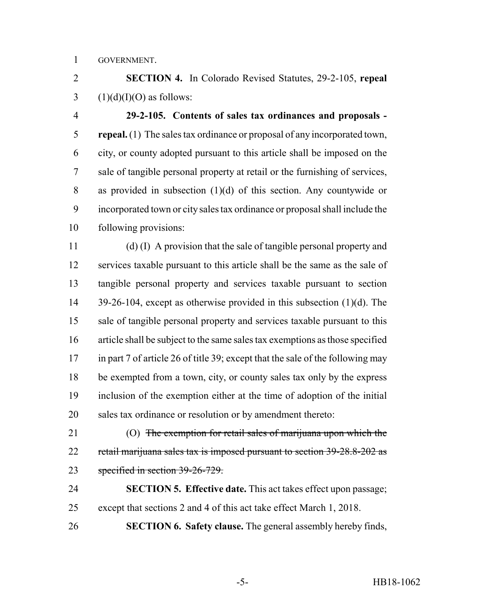GOVERNMENT.

 **SECTION 4.** In Colorado Revised Statutes, 29-2-105, **repeal** 3  $(1)(d)(I)(O)$  as follows:

 **29-2-105. Contents of sales tax ordinances and proposals - repeal.** (1) The sales tax ordinance or proposal of any incorporated town, city, or county adopted pursuant to this article shall be imposed on the sale of tangible personal property at retail or the furnishing of services, as provided in subsection (1)(d) of this section. Any countywide or incorporated town or city sales tax ordinance or proposal shall include the following provisions:

 (d) (I) A provision that the sale of tangible personal property and services taxable pursuant to this article shall be the same as the sale of tangible personal property and services taxable pursuant to section 39-26-104, except as otherwise provided in this subsection (1)(d). The sale of tangible personal property and services taxable pursuant to this article shall be subject to the same sales tax exemptions as those specified in part 7 of article 26 of title 39; except that the sale of the following may be exempted from a town, city, or county sales tax only by the express inclusion of the exemption either at the time of adoption of the initial sales tax ordinance or resolution or by amendment thereto:

21 (O) The exemption for retail sales of marijuana upon which the 22 retail marijuana sales tax is imposed pursuant to section 39-28.8-202 as specified in section 39-26-729.

 **SECTION 5. Effective date.** This act takes effect upon passage; except that sections 2 and 4 of this act take effect March 1, 2018.

**SECTION 6. Safety clause.** The general assembly hereby finds,